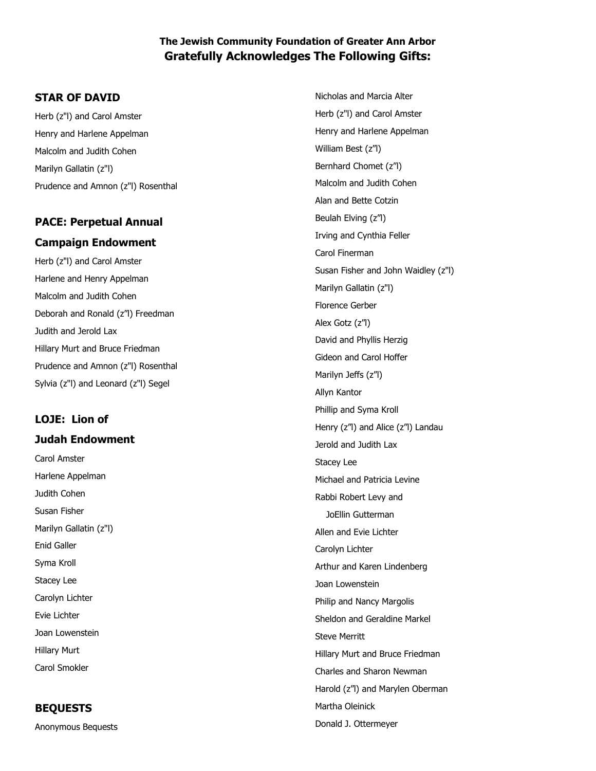## **The Jewish Community Foundation of Greater Ann Arbor Gratefully Acknowledges The Following Gifts:**

## **STAR OF DAVID**

Herb (z"l) and Carol Amster Henry and Harlene Appelman Malcolm and Judith Cohen Marilyn Gallatin (z"l) Prudence and Amnon (z"l) Rosenthal

## **PACE: Perpetual Annual Campaign Endowment**

Herb (z"l) and Carol Amster Harlene and Henry Appelman Malcolm and Judith Cohen Deborah and Ronald (z"l) Freedman Judith and Jerold Lax Hillary Murt and Bruce Friedman Prudence and Amnon (z"l) Rosenthal Sylvia (z"l) and Leonard (z"l) Segel

## **LOJE: Lion of Judah Endowment**

Carol Amster Harlene Appelman Judith Cohen Susan Fisher Marilyn Gallatin (z"l) Enid Galler Syma Kroll Stacey Lee Carolyn Lichter Evie Lichter Joan Lowenstein Hillary Murt Carol Smokler

## **BEQUESTS**

Anonymous Bequests

Nicholas and Marcia Alter Herb (z"l) and Carol Amster Henry and Harlene Appelman William Best (z"l) Bernhard Chomet (z"l) Malcolm and Judith Cohen Alan and Bette Cotzin Beulah Elving (z"l) Irving and Cynthia Feller Carol Finerman Susan Fisher and John Waidley (z"l) Marilyn Gallatin (z"l) Florence Gerber Alex Gotz (z"l) David and Phyllis Herzig Gideon and Carol Hoffer Marilyn Jeffs (z"l) Allyn Kantor Phillip and Syma Kroll Henry (z"l) and Alice (z"l) Landau Jerold and Judith Lax Stacey Lee Michael and Patricia Levine Rabbi Robert Levy and JoEllin Gutterman Allen and Evie Lichter Carolyn Lichter Arthur and Karen Lindenberg Joan Lowenstein Philip and Nancy Margolis Sheldon and Geraldine Markel Steve Merritt Hillary Murt and Bruce Friedman Charles and Sharon Newman Harold (z"l) and Marylen Oberman Martha Oleinick Donald J. Ottermeyer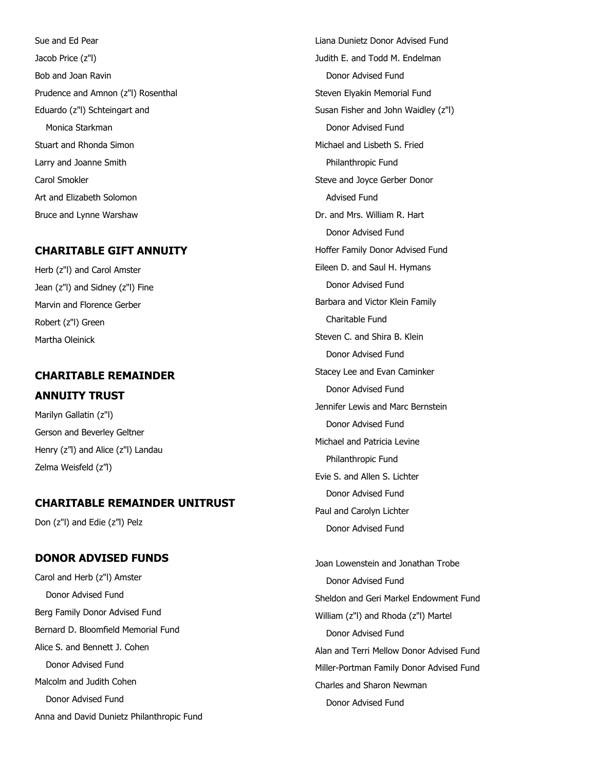Sue and Ed Pear Jacob Price (z"l) Bob and Joan Ravin Prudence and Amnon (z"l) Rosenthal Eduardo (z"l) Schteingart and Monica Starkman Stuart and Rhonda Simon Larry and Joanne Smith Carol Smokler Art and Elizabeth Solomon Bruce and Lynne Warshaw

### **CHARITABLE GIFT ANNUITY**

Herb (z"l) and Carol Amster Jean (z"l) and Sidney (z"l) Fine Marvin and Florence Gerber Robert (z"l) Green Martha Oleinick

# **CHARITABLE REMAINDER**

### **ANNUITY TRUST**

Marilyn Gallatin (z"l) Gerson and Beverley Geltner Henry (z"l) and Alice (z"l) Landau Zelma Weisfeld (z"l)

## **CHARITABLE REMAINDER UNITRUST**

Don (z"l) and Edie (z"l) Pelz

#### **DONOR ADVISED FUNDS**

Carol and Herb (z"l) Amster Donor Advised Fund Berg Family Donor Advised Fund Bernard D. Bloomfield Memorial Fund Alice S. and Bennett J. Cohen Donor Advised Fund Malcolm and Judith Cohen Donor Advised Fund Anna and David Dunietz Philanthropic Fund

Liana Dunietz Donor Advised Fund Judith E. and Todd M. Endelman Donor Advised Fund Steven Elyakin Memorial Fund Susan Fisher and John Waidley (z"l) Donor Advised Fund Michael and Lisbeth S. Fried Philanthropic Fund Steve and Joyce Gerber Donor Advised Fund Dr. and Mrs. William R. Hart Donor Advised Fund Hoffer Family Donor Advised Fund Eileen D. and Saul H. Hymans Donor Advised Fund Barbara and Victor Klein Family Charitable Fund Steven C. and Shira B. Klein Donor Advised Fund Stacey Lee and Evan Caminker Donor Advised Fund Jennifer Lewis and Marc Bernstein Donor Advised Fund Michael and Patricia Levine Philanthropic Fund Evie S. and Allen S. Lichter Donor Advised Fund Paul and Carolyn Lichter Donor Advised Fund

Joan Lowenstein and Jonathan Trobe Donor Advised Fund Sheldon and Geri Markel Endowment Fund William (z"l) and Rhoda (z"l) Martel Donor Advised Fund Alan and Terri Mellow Donor Advised Fund Miller-Portman Family Donor Advised Fund Charles and Sharon Newman Donor Advised Fund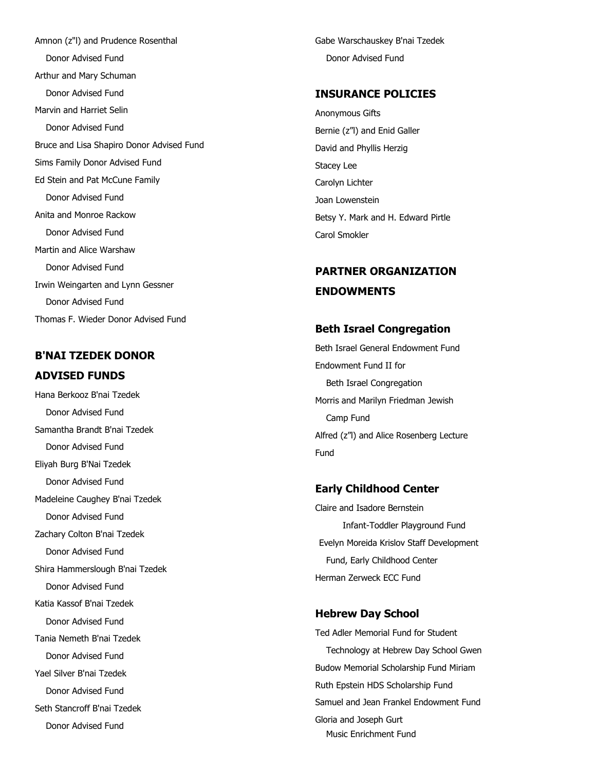Amnon (z"l) and Prudence Rosenthal Donor Advised Fund Arthur and Mary Schuman Donor Advised Fund Marvin and Harriet Selin Donor Advised Fund Bruce and Lisa Shapiro Donor Advised Fund Sims Family Donor Advised Fund Ed Stein and Pat McCune Family Donor Advised Fund Anita and Monroe Rackow Donor Advised Fund Martin and Alice Warshaw Donor Advised Fund Irwin Weingarten and Lynn Gessner Donor Advised Fund Thomas F. Wieder Donor Advised Fund

## **B'NAI TZEDEK DONOR ADVISED FUNDS**

Hana Berkooz B'nai Tzedek Donor Advised Fund Samantha Brandt B'nai Tzedek Donor Advised Fund Eliyah Burg B'Nai Tzedek Donor Advised Fund Madeleine Caughey B'nai Tzedek Donor Advised Fund Zachary Colton B'nai Tzedek Donor Advised Fund Shira Hammerslough B'nai Tzedek Donor Advised Fund Katia Kassof B'nai Tzedek Donor Advised Fund Tania Nemeth B'nai Tzedek Donor Advised Fund Yael Silver B'nai Tzedek Donor Advised Fund Seth Stancroff B'nai Tzedek Donor Advised Fund

Gabe Warschauskey B'nai Tzedek Donor Advised Fund

### **INSURANCE POLICIES**

Anonymous Gifts Bernie (z"l) and Enid Galler David and Phyllis Herzig Stacey Lee Carolyn Lichter Joan Lowenstein Betsy Y. Mark and H. Edward Pirtle Carol Smokler

# **PARTNER ORGANIZATION ENDOWMENTS**

#### **Beth Israel Congregation**

Beth Israel General Endowment Fund Endowment Fund II for Beth Israel Congregation Morris and Marilyn Friedman Jewish Camp Fund Alfred (z"l) and Alice Rosenberg Lecture Fund

### **Early Childhood Center**

Claire and Isadore Bernstein Infant-Toddler Playground Fund Evelyn Moreida Krislov Staff Development Fund, Early Childhood Center Herman Zerweck ECC Fund

#### **Hebrew Day School**

Ted Adler Memorial Fund for Student Technology at Hebrew Day School Gwen Budow Memorial Scholarship Fund Miriam Ruth Epstein HDS Scholarship Fund Samuel and Jean Frankel Endowment Fund Gloria and Joseph Gurt Music Enrichment Fund